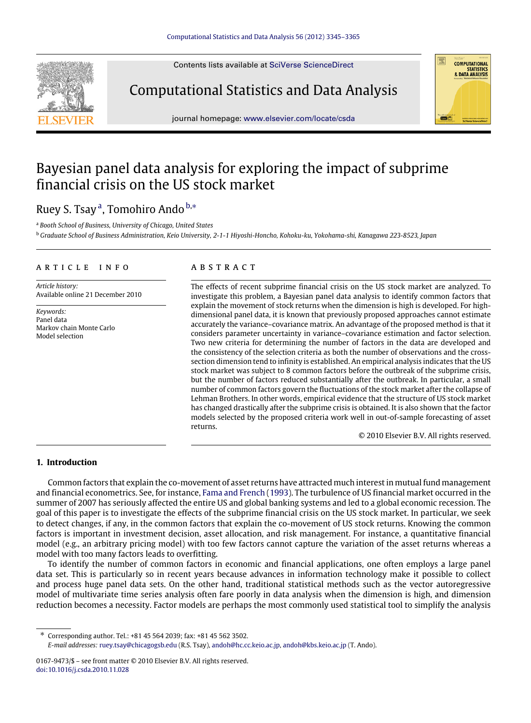Contents lists available at [SciVerse ScienceDirect](http://www.elsevier.com/locate/csda)



# Computational Statistics and Data Analysis



# Bayesian panel data analysis for exploring the impact of subprime financial crisis on the US stock market

### Ruey S. Ts[a](#page-0-0)y<sup>a</sup>, Tomohiro Ando [b,](#page-0-1)\*

<span id="page-0-0"></span><sup>a</sup> *Booth School of Business, University of Chicago, United States*

<span id="page-0-1"></span><sup>b</sup> *Graduate School of Business Administration, Keio University, 2-1-1 Hiyoshi-Honcho, Kohoku-ku, Yokohama-shi, Kanagawa 223-8523, Japan*

#### a r t i c l e i n f o

*Article history:* Available online 21 December 2010

*Keywords:* Panel data Markov chain Monte Carlo Model selection

#### a b s t r a c t

The effects of recent subprime financial crisis on the US stock market are analyzed. To investigate this problem, a Bayesian panel data analysis to identify common factors that explain the movement of stock returns when the dimension is high is developed. For highdimensional panel data, it is known that previously proposed approaches cannot estimate accurately the variance–covariance matrix. An advantage of the proposed method is that it considers parameter uncertainty in variance–covariance estimation and factor selection. Two new criteria for determining the number of factors in the data are developed and the consistency of the selection criteria as both the number of observations and the crosssection dimension tend to infinity is established. An empirical analysis indicates that the US stock market was subject to 8 common factors before the outbreak of the subprime crisis, but the number of factors reduced substantially after the outbreak. In particular, a small number of common factors govern the fluctuations of the stock market after the collapse of Lehman Brothers. In other words, empirical evidence that the structure of US stock market has changed drastically after the subprime crisis is obtained. It is also shown that the factor models selected by the proposed criteria work well in out-of-sample forecasting of asset returns.

© 2010 Elsevier B.V. All rights reserved.

**COMPUTATIONAL STATISTICS** & DATA ANALYSIS

#### **1. Introduction**

Common factors that explain the co-movement of asset returns have attracted much interest in mutual fund management and financial econometrics. See, for instance, [Fama](#page--1-0) [and](#page--1-0) [French](#page--1-0) [\(1993\)](#page--1-0). The turbulence of US financial market occurred in the summer of 2007 has seriously affected the entire US and global banking systems and led to a global economic recession. The goal of this paper is to investigate the effects of the subprime financial crisis on the US stock market. In particular, we seek to detect changes, if any, in the common factors that explain the co-movement of US stock returns. Knowing the common factors is important in investment decision, asset allocation, and risk management. For instance, a quantitative financial model (e.g., an arbitrary pricing model) with too few factors cannot capture the variation of the asset returns whereas a model with too many factors leads to overfitting.

To identify the number of common factors in economic and financial applications, one often employs a large panel data set. This is particularly so in recent years because advances in information technology make it possible to collect and process huge panel data sets. On the other hand, traditional statistical methods such as the vector autoregressive model of multivariate time series analysis often fare poorly in data analysis when the dimension is high, and dimension reduction becomes a necessity. Factor models are perhaps the most commonly used statistical tool to simplify the analysis

<span id="page-0-2"></span>∗ Corresponding author. Tel.: +81 45 564 2039; fax: +81 45 562 3502. *E-mail addresses:* [ruey.tsay@chicagogsb.edu](mailto:ruey.tsay@chicagogsb.edu) (R.S. Tsay), [andoh@hc.cc.keio.ac.jp,](mailto:andoh@hc.cc.keio.ac.jp) [andoh@kbs.keio.ac.jp](mailto:andoh@kbs.keio.ac.jp) (T. Ando).

<sup>0167-9473/\$ –</sup> see front matter © 2010 Elsevier B.V. All rights reserved. [doi:10.1016/j.csda.2010.11.028](http://dx.doi.org/10.1016/j.csda.2010.11.028)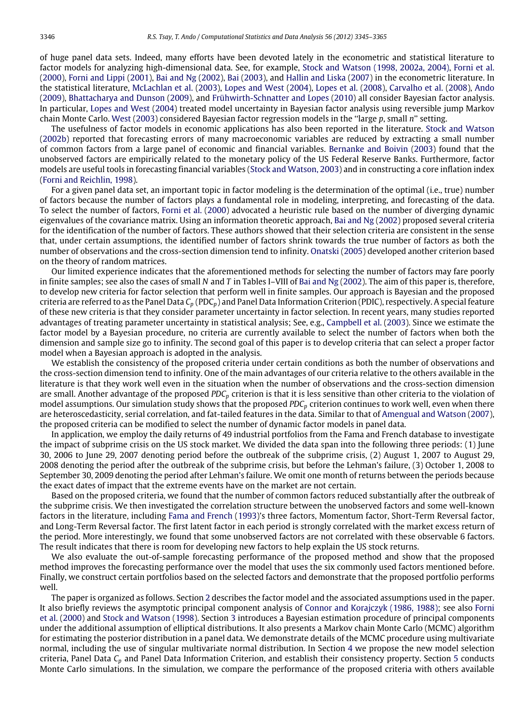of huge panel data sets. Indeed, many efforts have been devoted lately in the econometric and statistical literature to factor models for analyzing high-dimensional data. See, for example, [Stock](#page--1-1) [and](#page--1-1) [Watson](#page--1-1) [\(1998,](#page--1-1) [2002a,](#page--1-2) [2004\),](#page--1-3) [Forni](#page--1-4) [et al.](#page--1-4) [\(2000\)](#page--1-4), [Forni](#page--1-5) [and](#page--1-5) [Lippi](#page--1-5) [\(2001\)](#page--1-5), [Bai](#page--1-6) [and](#page--1-6) [Ng](#page--1-6) [\(2002\)](#page--1-6), [Bai](#page--1-7) [\(2003\)](#page--1-7), and [Hallin](#page--1-8) [and](#page--1-8) [Liska](#page--1-8) [\(2007\)](#page--1-8) in the econometric literature. In the statistical literature, [McLachlan](#page--1-9) [et al.](#page--1-9) [\(2003\)](#page--1-9), [Lopes](#page--1-10) [and](#page--1-10) [West](#page--1-10) [\(2004\)](#page--1-10), [Lopes](#page--1-11) [et al.](#page--1-11) [\(2008\)](#page--1-11), [Carvalho](#page--1-12) [et al.](#page--1-12) [\(2008\)](#page--1-12), [Ando](#page--1-13) [\(2009\)](#page--1-13), [Bhattacharya](#page--1-14) [and](#page--1-14) [Dunson](#page--1-14) [\(2009\)](#page--1-14), and [Frühwirth-Schnatter](#page--1-15) [and](#page--1-15) [Lopes](#page--1-15) [\(2010\)](#page--1-15) all consider Bayesian factor analysis. In particular, [Lopes](#page--1-10) [and](#page--1-10) [West](#page--1-10) [\(2004\)](#page--1-10) treated model uncertainty in Bayesian factor analysis using reversible jump Markov chain Monte Carlo. [West](#page--1-16) [\(2003\)](#page--1-16) considered Bayesian factor regression models in the ''large *p*, small *n*'' setting.

The usefulness of factor models in economic applications has also been reported in the literature. [Stock](#page--1-17) [and](#page--1-17) [Watson](#page--1-17) [\(2002b\)](#page--1-17) reported that forecasting errors of many macroeconomic variables are reduced by extracting a small number of common factors from a large panel of economic and financial variables. [Bernanke](#page--1-18) [and](#page--1-18) [Boivin](#page--1-18) [\(2003\)](#page--1-18) found that the unobserved factors are empirically related to the monetary policy of the US Federal Reserve Banks. Furthermore, factor models are useful tools in forecasting financial variables [\(Stock](#page--1-19) [and](#page--1-19) [Watson,](#page--1-19) [2003\)](#page--1-19) and in constructing a core inflation index [\(Forni](#page--1-20) [and](#page--1-20) [Reichlin,](#page--1-20) [1998\)](#page--1-20).

For a given panel data set, an important topic in factor modeling is the determination of the optimal (i.e., true) number of factors because the number of factors plays a fundamental role in modeling, interpreting, and forecasting of the data. To select the number of factors, [Forni](#page--1-4) [et al.](#page--1-4) [\(2000\)](#page--1-4) advocated a heuristic rule based on the number of diverging dynamic eigenvalues of the covariance matrix. Using an information theoretic approach, [Bai](#page--1-6) [and](#page--1-6) [Ng](#page--1-6) [\(2002\)](#page--1-6) proposed several criteria for the identification of the number of factors. These authors showed that their selection criteria are consistent in the sense that, under certain assumptions, the identified number of factors shrink towards the true number of factors as both the number of observations and the cross-section dimension tend to infinity. [Onatski](#page--1-21) [\(2005\)](#page--1-21) developed another criterion based on the theory of random matrices.

Our limited experience indicates that the aforementioned methods for selecting the number of factors may fare poorly in finite samples; see also the cases of small *N* and *T* in Tables I–VIII of [Bai](#page--1-6) [and](#page--1-6) [Ng](#page--1-6) [\(2002\)](#page--1-6). The aim of this paper is, therefore, to develop new criteria for factor selection that perform well in finite samples. Our approach is Bayesian and the proposed criteria are referred to as the Panel Data *C<sup>p</sup>* (PDC*p*) and Panel Data Information Criterion (PDIC), respectively. A special feature of these new criteria is that they consider parameter uncertainty in factor selection. In recent years, many studies reported advantages of treating parameter uncertainty in statistical analysis; See, e.g., [Campbell](#page--1-22) [et al.](#page--1-22) [\(2003\)](#page--1-22). Since we estimate the factor model by a Bayesian procedure, no criteria are currently available to select the number of factors when both the dimension and sample size go to infinity. The second goal of this paper is to develop criteria that can select a proper factor model when a Bayesian approach is adopted in the analysis.

We establish the consistency of the proposed criteria under certain conditions as both the number of observations and the cross-section dimension tend to infinity. One of the main advantages of our criteria relative to the others available in the literature is that they work well even in the situation when the number of observations and the cross-section dimension are small. Another advantage of the proposed *PDC<sup>p</sup>* criterion is that it is less sensitive than other criteria to the violation of model assumptions. Our simulation study shows that the proposed *PDC<sup>p</sup>* criterion continues to work well, even when there are heteroscedasticity, serial correlation, and fat-tailed features in the data. Similar to that of [Amengual](#page--1-23) [and](#page--1-23) [Watson](#page--1-23) [\(2007\)](#page--1-23), the proposed criteria can be modified to select the number of dynamic factor models in panel data.

In application, we employ the daily returns of 49 industrial portfolios from the Fama and French database to investigate the impact of subprime crisis on the US stock market. We divided the data span into the following three periods: (1) June 30, 2006 to June 29, 2007 denoting period before the outbreak of the subprime crisis, (2) August 1, 2007 to August 29, 2008 denoting the period after the outbreak of the subprime crisis, but before the Lehman's failure, (3) October 1, 2008 to September 30, 2009 denoting the period after Lehman's failure. We omit one month of returns between the periods because the exact dates of impact that the extreme events have on the market are not certain.

Based on the proposed criteria, we found that the number of common factors reduced substantially after the outbreak of the subprime crisis. We then investigated the correlation structure between the unobserved factors and some well-known factors in the literature, including [Fama](#page--1-0) [and](#page--1-0) [French](#page--1-0) [\(1993\)](#page--1-0)'s three factors, Momentum factor, Short-Term Reversal factor, and Long-Term Reversal factor. The first latent factor in each period is strongly correlated with the market excess return of the period. More interestingly, we found that some unobserved factors are not correlated with these observable 6 factors. The result indicates that there is room for developing new factors to help explain the US stock returns.

We also evaluate the out-of-sample forecasting performance of the proposed method and show that the proposed method improves the forecasting performance over the model that uses the six commonly used factors mentioned before. Finally, we construct certain portfolios based on the selected factors and demonstrate that the proposed portfolio performs well.

The paper is organized as follows. Section [2](#page--1-24) describes the factor model and the associated assumptions used in the paper. It also briefly reviews the asymptotic principal component analysis of [Connor](#page--1-25) [and](#page--1-25) [Korajczyk](#page--1-25) [\(1986,](#page--1-25) [1988\);](#page--1-26) see also [Forni](#page--1-4) [et al.](#page--1-4) [\(2000\)](#page--1-4) and [Stock](#page--1-1) [and](#page--1-1) [Watson](#page--1-1) [\(1998\)](#page--1-1). Section [3](#page--1-27) introduces a Bayesian estimation procedure of principal components under the additional assumption of elliptical distributions. It also presents a Markov chain Monte Carlo (MCMC) algorithm for estimating the posterior distribution in a panel data. We demonstrate details of the MCMC procedure using multivariate normal, including the use of singular multivariate normal distribution. In Section [4](#page--1-28) we propose the new model selection criteria, Panel Data *C<sup>p</sup>* and Panel Data Information Criterion, and establish their consistency property. Section [5](#page--1-29) conducts Monte Carlo simulations. In the simulation, we compare the performance of the proposed criteria with others available